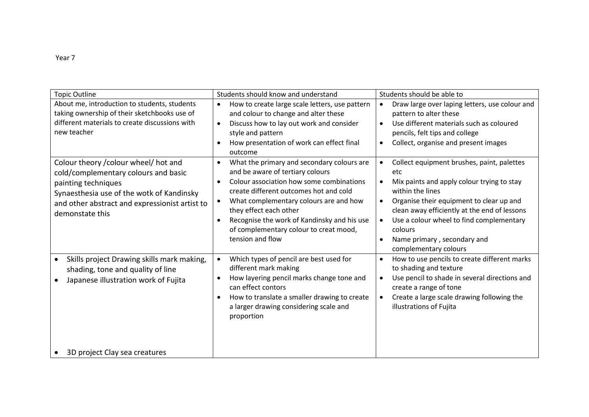| <b>Topic Outline</b>                                                                                                                                                                                                   | Students should know and understand                                                                                                                                                                                                                                                                                                                                                                       | Students should be able to                                                                                                                                                                                                                                                                                                                               |
|------------------------------------------------------------------------------------------------------------------------------------------------------------------------------------------------------------------------|-----------------------------------------------------------------------------------------------------------------------------------------------------------------------------------------------------------------------------------------------------------------------------------------------------------------------------------------------------------------------------------------------------------|----------------------------------------------------------------------------------------------------------------------------------------------------------------------------------------------------------------------------------------------------------------------------------------------------------------------------------------------------------|
| About me, introduction to students, students<br>taking ownership of their sketchbooks use of<br>different materials to create discussions with<br>new teacher                                                          | How to create large scale letters, use pattern<br>$\bullet$<br>and colour to change and alter these<br>Discuss how to lay out work and consider<br>$\bullet$<br>style and pattern<br>How presentation of work can effect final<br>$\bullet$<br>outcome                                                                                                                                                    | Draw large over laping letters, use colour and<br>pattern to alter these<br>Use different materials such as coloured<br>$\bullet$<br>pencils, felt tips and college<br>Collect, organise and present images<br>$\bullet$                                                                                                                                 |
| Colour theory / colour wheel/ hot and<br>cold/complementary colours and basic<br>painting techniques<br>Synaesthesia use of the wotk of Kandinsky<br>and other abstract and expressionist artist to<br>demonstate this | What the primary and secondary colours are<br>$\bullet$<br>and be aware of tertiary colours<br>Colour association how some combinations<br>$\bullet$<br>create different outcomes hot and cold<br>What complementary colours are and how<br>$\bullet$<br>they effect each other<br>Recognise the work of Kandinsky and his use<br>$\bullet$<br>of complementary colour to creat mood,<br>tension and flow | Collect equipment brushes, paint, palettes<br>etc<br>Mix paints and apply colour trying to stay<br>within the lines<br>Organise their equipment to clear up and<br>$\bullet$<br>clean away efficiently at the end of lessons<br>Use a colour wheel to find complementary<br>colours<br>Name primary, secondary and<br>$\bullet$<br>complementary colours |
| Skills project Drawing skills mark making,<br>shading, tone and quality of line<br>Japanese illustration work of Fujita                                                                                                | Which types of pencil are best used for<br>$\bullet$<br>different mark making<br>How layering pencil marks change tone and<br>can effect contors<br>How to translate a smaller drawing to create<br>$\bullet$<br>a larger drawing considering scale and<br>proportion                                                                                                                                     | How to use pencils to create different marks<br>$\bullet$<br>to shading and texture<br>Use pencil to shade in several directions and<br>$\bullet$<br>create a range of tone<br>Create a large scale drawing following the<br>illustrations of Fujita                                                                                                     |
| 3D project Clay sea creatures                                                                                                                                                                                          |                                                                                                                                                                                                                                                                                                                                                                                                           |                                                                                                                                                                                                                                                                                                                                                          |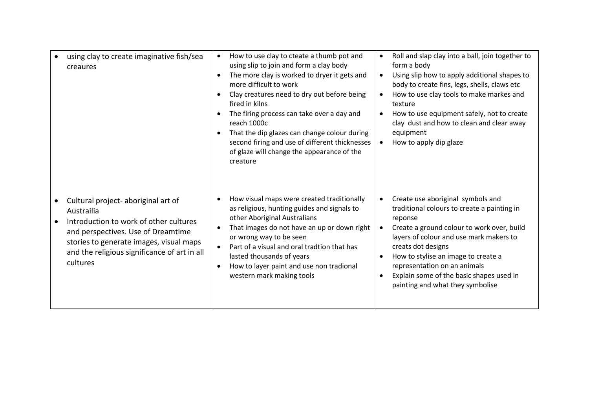| using clay to create imaginative fish/sea<br>creaures                                                                                                                                                                                    | How to use clay to cteate a thumb pot and<br>$\bullet$<br>using slip to join and form a clay body<br>The more clay is worked to dryer it gets and<br>$\bullet$<br>more difficult to work<br>Clay creatures need to dry out before being<br>fired in kilns<br>The firing process can take over a day and<br>$\bullet$<br>reach 1000c<br>That the dip glazes can change colour during<br>$\bullet$<br>second firing and use of different thicknesses<br>of glaze will change the appearance of the<br>creature | Roll and slap clay into a ball, join together to<br>$\bullet$<br>form a body<br>Using slip how to apply additional shapes to<br>$\bullet$<br>body to create fins, legs, shells, claws etc<br>How to use clay tools to make markes and<br>texture<br>How to use equipment safely, not to create<br>clay dust and how to clean and clear away<br>equipment<br>How to apply dip glaze          |
|------------------------------------------------------------------------------------------------------------------------------------------------------------------------------------------------------------------------------------------|--------------------------------------------------------------------------------------------------------------------------------------------------------------------------------------------------------------------------------------------------------------------------------------------------------------------------------------------------------------------------------------------------------------------------------------------------------------------------------------------------------------|---------------------------------------------------------------------------------------------------------------------------------------------------------------------------------------------------------------------------------------------------------------------------------------------------------------------------------------------------------------------------------------------|
| Cultural project- aboriginal art of<br>Austrailia<br>Introduction to work of other cultures<br>and perspectives. Use of Dreamtime<br>stories to generate images, visual maps<br>and the religious significance of art in all<br>cultures | How visual maps were created traditionally<br>$\bullet$<br>as religious, hunting guides and signals to<br>other Aboriginal Australians<br>That images do not have an up or down right<br>$\bullet$<br>or wrong way to be seen<br>Part of a visual and oral tradtion that has<br>$\bullet$<br>lasted thousands of years<br>How to layer paint and use non tradional<br>$\bullet$<br>western mark making tools                                                                                                 | Create use aboriginal symbols and<br>traditional colours to create a painting in<br>reponse<br>Create a ground colour to work over, build<br>layers of colour and use mark makers to<br>creats dot designs<br>How to stylise an image to create a<br>$\bullet$<br>representation on an animals<br>Explain some of the basic shapes used in<br>$\bullet$<br>painting and what they symbolise |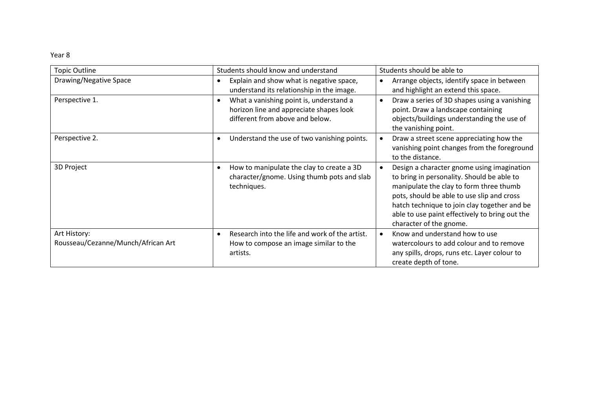| <b>Topic Outline</b>                               | Students should know and understand                                                                                   | Students should be able to                                                                                                                                                                                                                                                                                     |
|----------------------------------------------------|-----------------------------------------------------------------------------------------------------------------------|----------------------------------------------------------------------------------------------------------------------------------------------------------------------------------------------------------------------------------------------------------------------------------------------------------------|
| Drawing/Negative Space                             | Explain and show what is negative space,<br>$\bullet$<br>understand its relationship in the image.                    | Arrange objects, identify space in between<br>and highlight an extend this space.                                                                                                                                                                                                                              |
| Perspective 1.                                     | What a vanishing point is, understand a<br>horizon line and appreciate shapes look<br>different from above and below. | Draw a series of 3D shapes using a vanishing<br>point. Draw a landscape containing<br>objects/buildings understanding the use of<br>the vanishing point.                                                                                                                                                       |
| Perspective 2.                                     | Understand the use of two vanishing points.                                                                           | Draw a street scene appreciating how the<br>vanishing point changes from the foreground<br>to the distance.                                                                                                                                                                                                    |
| 3D Project                                         | How to manipulate the clay to create a 3D<br>$\bullet$<br>character/gnome. Using thumb pots and slab<br>techniques.   | Design a character gnome using imagination<br>to bring in personality. Should be able to<br>manipulate the clay to form three thumb<br>pots, should be able to use slip and cross<br>hatch technique to join clay together and be<br>able to use paint effectively to bring out the<br>character of the gnome. |
| Art History:<br>Rousseau/Cezanne/Munch/African Art | Research into the life and work of the artist.<br>$\bullet$<br>How to compose an image similar to the<br>artists.     | Know and understand how to use<br>watercolours to add colour and to remove<br>any spills, drops, runs etc. Layer colour to<br>create depth of tone.                                                                                                                                                            |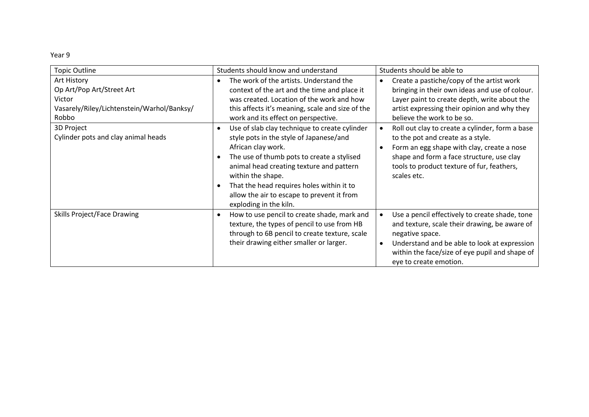| <b>Topic Outline</b>                                                                                      | Students should know and understand                                                                                                                                                                                                                                                                                                                             | Students should be able to                                                                                                                                                                                                                     |
|-----------------------------------------------------------------------------------------------------------|-----------------------------------------------------------------------------------------------------------------------------------------------------------------------------------------------------------------------------------------------------------------------------------------------------------------------------------------------------------------|------------------------------------------------------------------------------------------------------------------------------------------------------------------------------------------------------------------------------------------------|
| Art History<br>Op Art/Pop Art/Street Art<br>Victor<br>Vasarely/Riley/Lichtenstein/Warhol/Banksy/<br>Robbo | The work of the artists. Understand the<br>context of the art and the time and place it<br>was created. Location of the work and how<br>this affects it's meaning, scale and size of the<br>work and its effect on perspective.                                                                                                                                 | Create a pastiche/copy of the artist work<br>bringing in their own ideas and use of colour.<br>Layer paint to create depth, write about the<br>artist expressing their opinion and why they<br>believe the work to be so.                      |
| 3D Project<br>Cylinder pots and clay animal heads                                                         | Use of slab clay technique to create cylinder<br>$\bullet$<br>style pots in the style of Japanese/and<br>African clay work.<br>The use of thumb pots to create a stylised<br>animal head creating texture and pattern<br>within the shape.<br>That the head requires holes within it to<br>allow the air to escape to prevent it from<br>exploding in the kiln. | Roll out clay to create a cylinder, form a base<br>to the pot and create as a style.<br>Form an egg shape with clay, create a nose<br>shape and form a face structure, use clay<br>tools to product texture of fur, feathers,<br>scales etc.   |
| <b>Skills Project/Face Drawing</b>                                                                        | How to use pencil to create shade, mark and<br>$\bullet$<br>texture, the types of pencil to use from HB<br>through to 6B pencil to create texture, scale<br>their drawing either smaller or larger.                                                                                                                                                             | Use a pencil effectively to create shade, tone<br>and texture, scale their drawing, be aware of<br>negative space.<br>Understand and be able to look at expression<br>within the face/size of eye pupil and shape of<br>eye to create emotion. |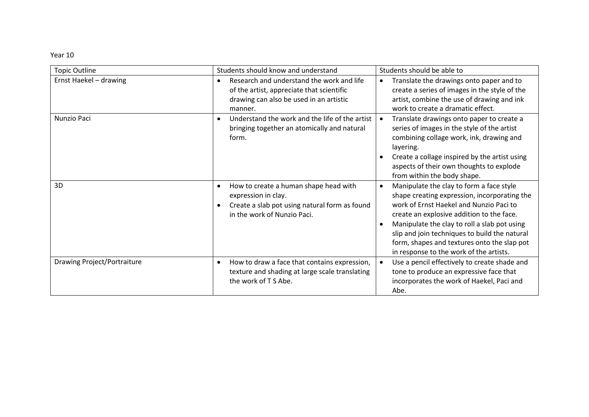| <b>Topic Outline</b>               | Students should know and understand                                                                                                                                    | Students should be able to                                                                                                                                                                                                                                                                                                                                                               |
|------------------------------------|------------------------------------------------------------------------------------------------------------------------------------------------------------------------|------------------------------------------------------------------------------------------------------------------------------------------------------------------------------------------------------------------------------------------------------------------------------------------------------------------------------------------------------------------------------------------|
| Ernst Haekel - drawing             | Research and understand the work and life<br>of the artist, appreciate that scientific<br>drawing can also be used in an artistic<br>manner.                           | Translate the drawings onto paper and to<br>create a series of images in the style of the<br>artist, combine the use of drawing and ink<br>work to create a dramatic effect.                                                                                                                                                                                                             |
| Nunzio Paci                        | Understand the work and the life of the artist<br>$\bullet$<br>bringing together an atomically and natural<br>form.                                                    | Translate drawings onto paper to create a<br>series of images in the style of the artist<br>combining collage work, ink, drawing and<br>layering.<br>Create a collage inspired by the artist using<br>aspects of their own thoughts to explode<br>from within the body shape.                                                                                                            |
| 3D                                 | How to create a human shape head with<br>$\bullet$<br>expression in clay.<br>Create a slab pot using natural form as found<br>$\bullet$<br>in the work of Nunzio Paci. | Manipulate the clay to form a face style<br>$\bullet$<br>shape creating expression, incorporating the<br>work of Ernst Haekel and Nunzio Paci to<br>create an explosive addition to the face.<br>Manipulate the clay to roll a slab pot using<br>slip and join techniques to build the natural<br>form, shapes and textures onto the slap pot<br>in response to the work of the artists. |
| <b>Drawing Project/Portraiture</b> | How to draw a face that contains expression,<br>$\bullet$<br>texture and shading at large scale translating<br>the work of T S Abe.                                    | Use a pencil effectively to create shade and<br>tone to produce an expressive face that<br>incorporates the work of Haekel, Paci and<br>Abe.                                                                                                                                                                                                                                             |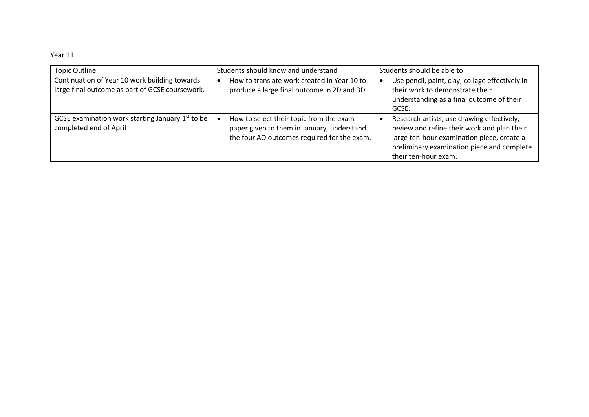| <b>Topic Outline</b>                                                                             | Students should know and understand                                                                                                  | Students should be able to                                                                                                                                                                                    |
|--------------------------------------------------------------------------------------------------|--------------------------------------------------------------------------------------------------------------------------------------|---------------------------------------------------------------------------------------------------------------------------------------------------------------------------------------------------------------|
| Continuation of Year 10 work building towards<br>large final outcome as part of GCSE coursework. | How to translate work created in Year 10 to<br>produce a large final outcome in 2D and 3D.                                           | Use pencil, paint, clay, collage effectively in<br>their work to demonstrate their<br>understanding as a final outcome of their<br>GCSE.                                                                      |
| GCSE examination work starting January $1st$ to be<br>completed end of April                     | How to select their topic from the exam<br>paper given to them in January, understand<br>the four AO outcomes required for the exam. | Research artists, use drawing effectively,<br>review and refine their work and plan their<br>large ten-hour examination piece, create a<br>preliminary examination piece and complete<br>their ten-hour exam. |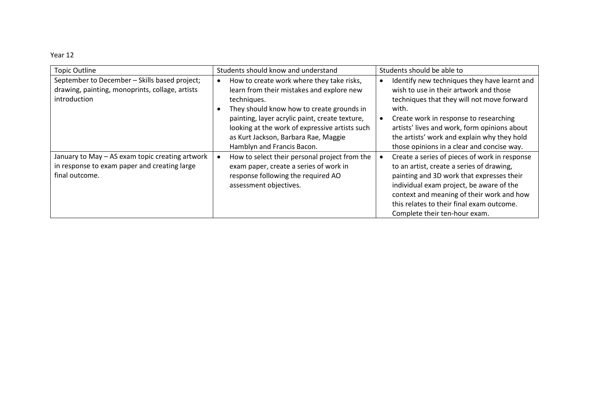| <b>Topic Outline</b>                            | Students should know and understand            | Students should be able to                    |
|-------------------------------------------------|------------------------------------------------|-----------------------------------------------|
| September to December - Skills based project;   | How to create work where they take risks,      | Identify new techniques they have learnt and  |
| drawing, painting, monoprints, collage, artists | learn from their mistakes and explore new      | wish to use in their artwork and those        |
| introduction                                    | techniques.                                    | techniques that they will not move forward    |
|                                                 | They should know how to create grounds in      | with.                                         |
|                                                 | painting, layer acrylic paint, create texture, | Create work in response to researching        |
|                                                 | looking at the work of expressive artists such | artists' lives and work, form opinions about  |
|                                                 | as Kurt Jackson, Barbara Rae, Maggie           | the artists' work and explain why they hold   |
|                                                 | Hamblyn and Francis Bacon.                     | those opinions in a clear and concise way.    |
| January to May - AS exam topic creating artwork | How to select their personal project from the  | Create a series of pieces of work in response |
| in response to exam paper and creating large    | exam paper, create a series of work in         | to an artist, create a series of drawing,     |
| final outcome.                                  | response following the required AO             | painting and 3D work that expresses their     |
|                                                 | assessment objectives.                         | individual exam project, be aware of the      |
|                                                 |                                                | context and meaning of their work and how     |
|                                                 |                                                | this relates to their final exam outcome.     |
|                                                 |                                                | Complete their ten-hour exam.                 |